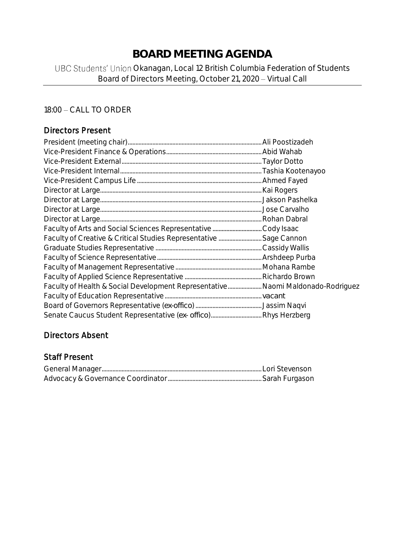# **BOARD MEETING AGENDA**

# UBC Students' Union Okanagan, Local 12 British Columbia Federation of Students Board of Directors Meeting, October 21, 2020 - Virtual Call

# 18:00 - CALL TO ORDER

# Directors Present

| Faculty of Health & Social Development Representative Naomi Maldonado-Rodriguez |  |
|---------------------------------------------------------------------------------|--|
|                                                                                 |  |
|                                                                                 |  |
|                                                                                 |  |

# Directors Absent

# Staff Present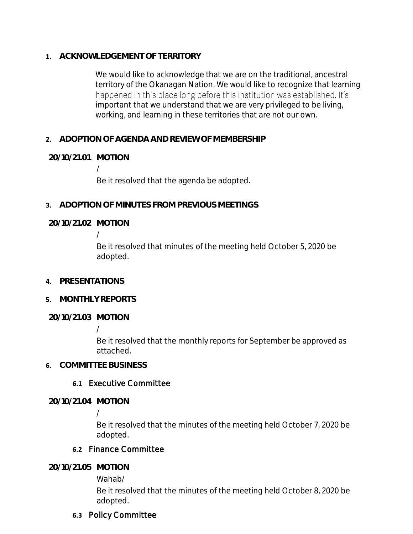**1. ACKNOWLEDGEMENT OF TERRITORY**

We would like to acknowledge that we are on the traditional, ancestral territory of the Okanagan Nation. We would like to recognize that learning happened in this place long before this institution was established. It's important that we understand that we are very privileged to be living, working, and learning in these territories that are not our own.

**2. ADOPTION OF AGENDA AND REVIEW OF MEMBERSHIP**

**20/10/21.01 MOTION**

/

Be it resolved that the agenda be adopted.

**3. ADOPTION OF MINUTES FROM PREVIOUS MEETINGS**

**20/10/21.02 MOTION**

/

Be it resolved that minutes of the meeting held October 5, 2020 be adopted.

- **4. PRESENTATIONS**
- **5. MONTHLY REPORTS**

**20/10/21.03 MOTION**

/

Be it resolved that the monthly reports for September be approved as attached.

**6. COMMITTEE BUSINESS**

### **6.1** Executive Committee

**20/10/21.04 MOTION**

/

Be it resolved that the minutes of the meeting held October 7, 2020 be adopted.

### **6.2** Finance Committee

**20/10/21.05 MOTION**

Wahab/

Be it resolved that the minutes of the meeting held October 8, 2020 be adopted.

### **6.3** Policy Committee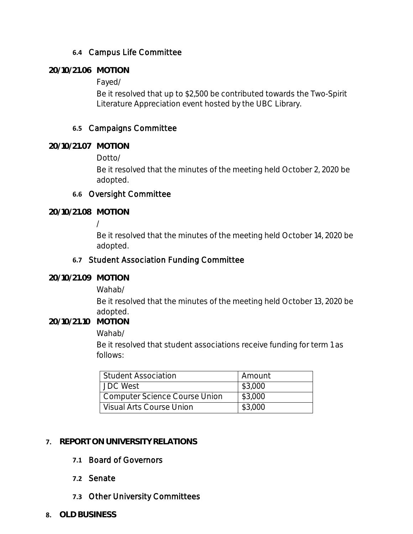# **6.4** Campus Life Committee

### **20/10/21.06 MOTION**

Fayed/

Be it resolved that up to \$2,500 be contributed towards the Two-Spirit Literature Appreciation event hosted by the UBC Library.

# **6.5** Campaigns Committee

**20/10/21.07 MOTION**

Dotto/

Be it resolved that the minutes of the meeting held October 2, 2020 be adopted.

### **6.6** Oversight Committee

**20/10/21.08 MOTION**

/

Be it resolved that the minutes of the meeting held October 14, 2020 be adopted.

### **6.7** Student Association Funding Committee

**20/10/21.09 MOTION**

Wahab/

Be it resolved that the minutes of the meeting held October 13, 2020 be adopted.

**20/10/21.10 MOTION**

#### Wahab/

Be it resolved that student associations receive funding for term 1 as follows:

| <b>Student Association</b>           | Amount  |
|--------------------------------------|---------|
| JDC West                             | \$3,000 |
| <b>Computer Science Course Union</b> | \$3,000 |
| Visual Arts Course Union             | \$3,000 |

### **7. REPORT ON UNIVERSITY RELATIONS**

### **7.1** Board of Governors

### **7.2** Senate

- **7.3** Other University Committees
- **8. OLD BUSINESS**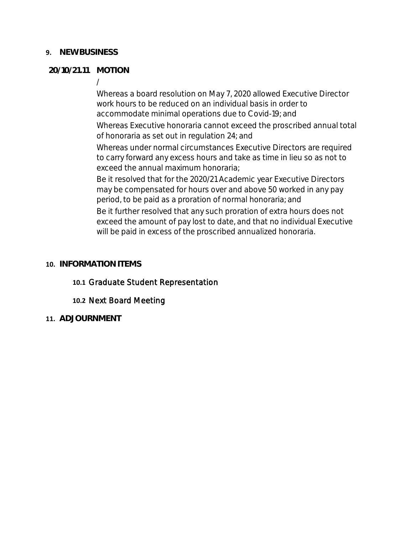### **9. NEW BUSINESS**

### **20/10/21.11 MOTION**

/

Whereas a board resolution on May 7, 2020 allowed Executive Director work hours to be reduced on an individual basis in order to accommodate minimal operations due to Covid-19; and

Whereas Executive honoraria cannot exceed the proscribed annual total of honoraria as set out in regulation 24; and

Whereas under normal circumstances Executive Directors are required to carry forward any excess hours and take as time in lieu so as not to exceed the annual maximum honoraria;

Be it resolved that for the 2020/21 Academic year Executive Directors may be compensated for hours over and above 50 worked in any pay period, to be paid as a proration of normal honoraria; and

Be it further resolved that any such proration of extra hours does not exceed the amount of pay lost to date, and that no individual Executive will be paid in excess of the proscribed annualized honoraria.

### **10. INFORMATION ITEMS**

### **10.1** Graduate Student Representation

### **10.2** Next Board Meeting

**11. ADJOURNMENT**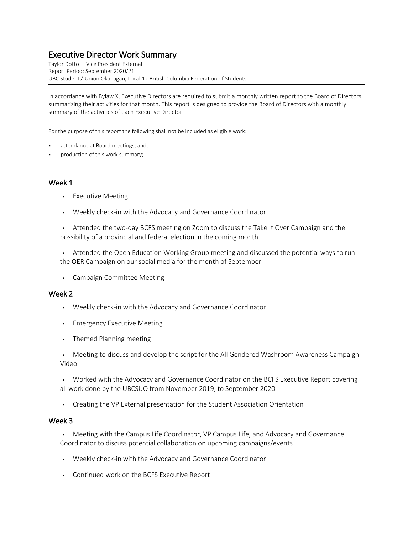Taylor Dotto – Vice President External Report Period: September 2020/21 UBC Students' Union Okanagan, Local 12 British Columbia Federation of Students

In accordance with Bylaw X, Executive Directors are required to submit a monthly written report to the Board of Directors, summarizing their activities for that month. This report is designed to provide the Board of Directors with a monthly summary of the activities of each Executive Director.

For the purpose of this report the following shall not be included as eligible work:

- attendance at Board meetings; and,
- production of this work summary;

#### Week 1

- **•** Executive Meeting
- Weekly check-in with the Advocacy and Governance Coordinator
- **•** Attended the two-day BCFS meeting on Zoom to discuss the Take It Over Campaign and the possibility of a provincial and federal election in the coming month
- **•** Attended the Open Education Working Group meeting and discussed the potential ways to run the OER Campaign on our social media for the month of September
- Campaign Committee Meeting

#### Week 2

- Weekly check-in with the Advocacy and Governance Coordinator
- Emergency Executive Meeting
- **•** Themed Planning meeting
- Meeting to discuss and develop the script for the All Gendered Washroom Awareness Campaign Video
- Worked with the Advocacy and Governance Coordinator on the BCFS Executive Report covering all work done by the UBCSUO from November 2019, to September 2020
- Creating the VP External presentation for the Student Association Orientation

- Meeting with the Campus Life Coordinator, VP Campus Life, and Advocacy and Governance Coordinator to discuss potential collaboration on upcoming campaigns/events
- Weekly check-in with the Advocacy and Governance Coordinator
- Continued work on the BCFS Executive Report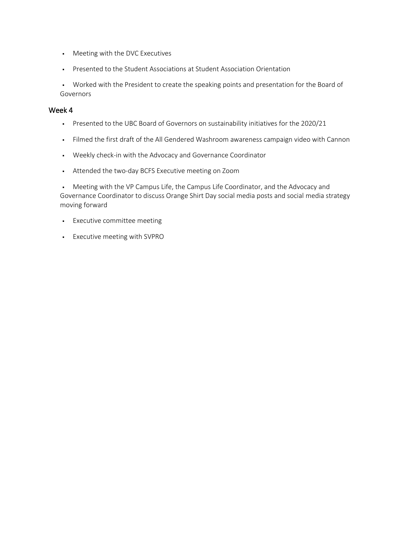- Meeting with the DVC Executives
- Presented to the Student Associations at Student Association Orientation

▪ Worked with the President to create the speaking points and presentation for the Board of Governors

#### Week 4

- Presented to the UBC Board of Governors on sustainability initiatives for the 2020/21
- Filmed the first draft of the All Gendered Washroom awareness campaign video with Cannon
- Weekly check-in with the Advocacy and Governance Coordinator
- Attended the two-day BCFS Executive meeting on Zoom

• Meeting with the VP Campus Life, the Campus Life Coordinator, and the Advocacy and Governance Coordinator to discuss Orange Shirt Day social media posts and social media strategy moving forward

- **•** Executive committee meeting
- Executive meeting with SVPRO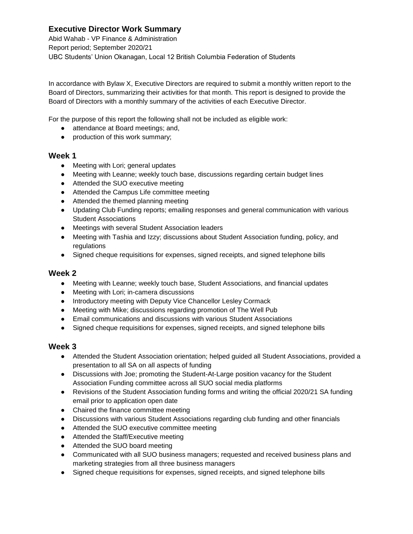Abid Wahab - VP Finance & Administration Report period; September 2020/21 UBC Students' Union Okanagan, Local 12 British Columbia Federation of Students

In accordance with Bylaw X, Executive Directors are required to submit a monthly written report to the Board of Directors, summarizing their activities for that month. This report is designed to provide the Board of Directors with a monthly summary of the activities of each Executive Director.

For the purpose of this report the following shall not be included as eligible work:

- attendance at Board meetings; and,
- production of this work summary;

#### **Week 1**

- Meeting with Lori; general updates
- Meeting with Leanne; weekly touch base, discussions regarding certain budget lines
- Attended the SUO executive meeting
- Attended the Campus Life committee meeting
- Attended the themed planning meeting
- Updating Club Funding reports; emailing responses and general communication with various Student Associations
- Meetings with several Student Association leaders
- Meeting with Tashia and Izzy; discussions about Student Association funding, policy, and regulations
- Signed cheque requisitions for expenses, signed receipts, and signed telephone bills

#### **Week 2**

- Meeting with Leanne; weekly touch base, Student Associations, and financial updates
- Meeting with Lori; in-camera discussions
- Introductory meeting with Deputy Vice Chancellor Lesley Cormack
- Meeting with Mike; discussions regarding promotion of The Well Pub
- Email communications and discussions with various Student Associations
- Signed cheque requisitions for expenses, signed receipts, and signed telephone bills

- Attended the Student Association orientation; helped guided all Student Associations, provided a presentation to all SA on all aspects of funding
- Discussions with Joe; promoting the Student-At-Large position vacancy for the Student Association Funding committee across all SUO social media platforms
- Revisions of the Student Association funding forms and writing the official 2020/21 SA funding email prior to application open date
- Chaired the finance committee meeting
- Discussions with various Student Associations regarding club funding and other financials
- Attended the SUO executive committee meeting
- Attended the Staff/Executive meeting
- Attended the SUO board meeting
- Communicated with all SUO business managers; requested and received business plans and marketing strategies from all three business managers
- Signed cheque requisitions for expenses, signed receipts, and signed telephone bills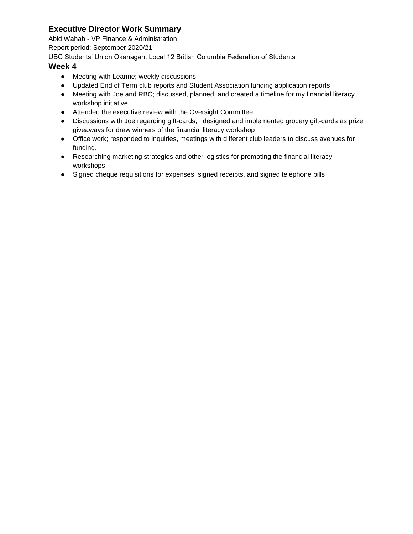Abid Wahab - VP Finance & Administration

Report period; September 2020/21

UBC Students' Union Okanagan, Local 12 British Columbia Federation of Students

- Meeting with Leanne; weekly discussions
- Updated End of Term club reports and Student Association funding application reports
- Meeting with Joe and RBC; discussed, planned, and created a timeline for my financial literacy workshop initiative
- Attended the executive review with the Oversight Committee
- Discussions with Joe regarding gift-cards; I designed and implemented grocery gift-cards as prize giveaways for draw winners of the financial literacy workshop
- Office work; responded to inquiries, meetings with different club leaders to discuss avenues for funding.
- Researching marketing strategies and other logistics for promoting the financial literacy workshops
- Signed cheque requisitions for expenses, signed receipts, and signed telephone bills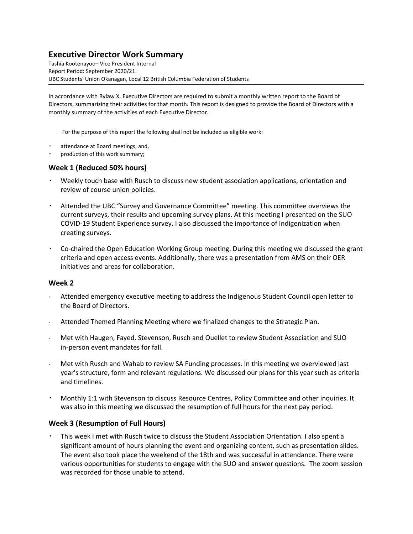Tashia Kootenayoo– Vice President Internal Report Period: September 2020/21 UBC Students' Union Okanagan, Local 12 British Columbia Federation of Students

In accordance with Bylaw X, Executive Directors are required to submit a monthly written report to the Board of Directors, summarizing their activities for that month. This report is designed to provide the Board of Directors with a monthly summary of the activities of each Executive Director.

For the purpose of this report the following shall not be included as eligible work:

- attendance at Board meetings; and,
- production of this work summary;

#### **Week 1 (Reduced 50% hours)**

- Weekly touch base with Rusch to discuss new student association applications, orientation and review of course union policies.
- Attended the UBC "Survey and Governance Committee" meeting. This committee overviews the current surveys, their results and upcoming survey plans. At this meeting I presented on the SUO COVID-19 Student Experience survey. I also discussed the importance of Indigenization when creating surveys.
- Co-chaired the Open Education Working Group meeting. During this meeting we discussed the grant criteria and open access events. Additionally, there was a presentation from AMS on their OER initiatives and areas for collaboration.

#### **Week 2**

- Attended emergency executive meeting to address the Indigenous Student Council open letter to the Board of Directors.
- Attended Themed Planning Meeting where we finalized changes to the Strategic Plan.
- Met with Haugen, Fayed, Stevenson, Rusch and Ouellet to review Student Association and SUO in-person event mandates for fall.
- Met with Rusch and Wahab to review SA Funding processes. In this meeting we overviewed last year's structure, form and relevant regulations. We discussed our plans for this year such as criteria and timelines.
- Monthly 1:1 with Stevenson to discuss Resource Centres, Policy Committee and other inquiries. It was also in this meeting we discussed the resumption of full hours for the next pay period.

#### **Week 3 (Resumption of Full Hours)**

This week I met with Rusch twice to discuss the Student Association Orientation. I also spent a significant amount of hours planning the event and organizing content, such as presentation slides. The event also took place the weekend of the 18th and was successful in attendance. There were various opportunities for students to engage with the SUO and answer questions. The zoom session was recorded for those unable to attend.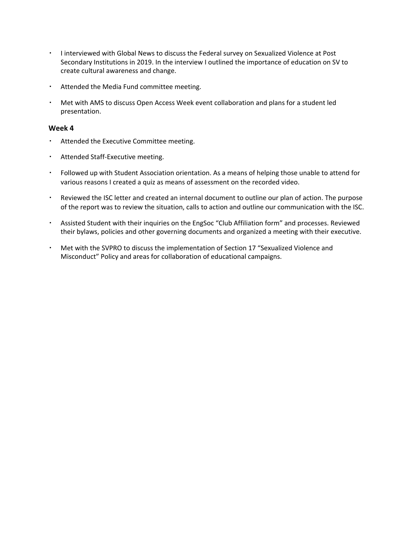- I interviewed with Global News to discuss the Federal survey on Sexualized Violence at Post Secondary Institutions in 2019. In the interview I outlined the importance of education on SV to create cultural awareness and change.
- Attended the Media Fund committee meeting.
- Met with AMS to discuss Open Access Week event collaboration and plans for a student led presentation.

- Attended the Executive Committee meeting.
- Attended Staff-Executive meeting.
- Followed up with Student Association orientation. As a means of helping those unable to attend for various reasons I created a quiz as means of assessment on the recorded video.
- Reviewed the ISC letter and created an internal document to outline our plan of action. The purpose of the report was to review the situation, calls to action and outline our communication with the ISC.
- Assisted Student with their inquiries on the EngSoc "Club Affiliation form" and processes. Reviewed their bylaws, policies and other governing documents and organized a meeting with their executive.
- Met with the SVPRO to discuss the implementation of Section 17 "Sexualized Violence and Misconduct" Policy and areas for collaboration of educational campaigns.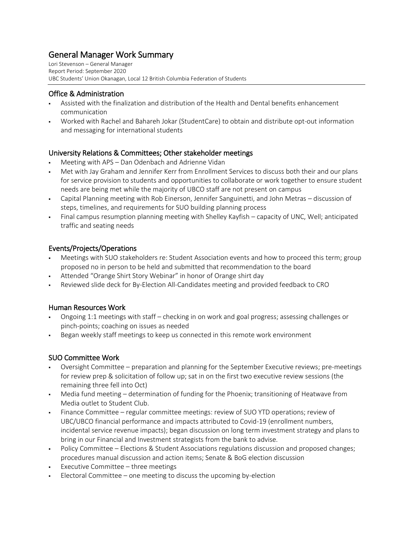# General Manager Work Summary

Lori Stevenson – General Manager Report Period: September 2020 UBC Students' Union Okanagan, Local 12 British Columbia Federation of Students

### Office & Administration

- Assisted with the finalization and distribution of the Health and Dental benefits enhancement communication
- Worked with Rachel and Bahareh Jokar (StudentCare) to obtain and distribute opt-out information and messaging for international students

### University Relations & Committees; Other stakeholder meetings

- Meeting with APS Dan Odenbach and Adrienne Vidan
- Met with Jay Graham and Jennifer Kerr from Enrollment Services to discuss both their and our plans for service provision to students and opportunities to collaborate or work together to ensure student needs are being met while the majority of UBCO staff are not present on campus
- Capital Planning meeting with Rob Einerson, Jennifer Sanguinetti, and John Metras discussion of steps, timelines, and requirements for SUO building planning process
- Final campus resumption planning meeting with Shelley Kayfish capacity of UNC, Well; anticipated traffic and seating needs

### Events/Projects/Operations

- Meetings with SUO stakeholders re: Student Association events and how to proceed this term; group proposed no in person to be held and submitted that recommendation to the board
- Attended "Orange Shirt Story Webinar" in honor of Orange shirt day
- Reviewed slide deck for By-Election All-Candidates meeting and provided feedback to CRO

#### Human Resources Work

- Ongoing 1:1 meetings with staff checking in on work and goal progress; assessing challenges or pinch-points; coaching on issues as needed
- Began weekly staff meetings to keep us connected in this remote work environment

### SUO Committee Work

- Oversight Committee preparation and planning for the September Executive reviews; pre-meetings for review prep & solicitation of follow up; sat in on the first two executive review sessions (the remaining three fell into Oct)
- Media fund meeting determination of funding for the Phoenix; transitioning of Heatwave from Media outlet to Student Club.
- Finance Committee regular committee meetings: review of SUO YTD operations; review of UBC/UBCO financial performance and impacts attributed to Covid-19 (enrollment numbers, incidental service revenue impacts); began discussion on long term investment strategy and plans to bring in our Financial and Investment strategists from the bank to advise.
- Policy Committee Elections & Student Associations regulations discussion and proposed changes; procedures manual discussion and action items; Senate & BoG election discussion
- Executive Committee three meetings
- $\blacksquare$  Electoral Committee one meeting to discuss the upcoming by-election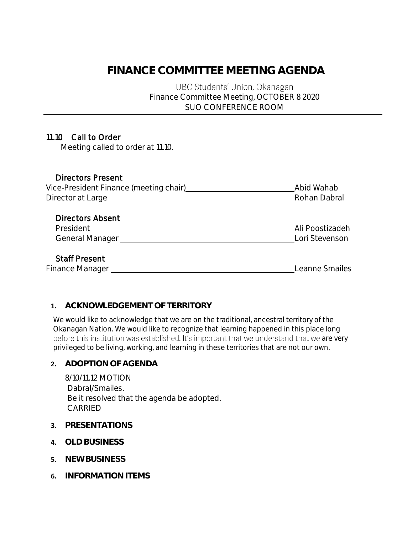# **FINANCE COMMITTEE MEETING AGENDA**

UBC Students' Union, Okanagan Finance Committee Meeting, OCTOBER 8 2020 SUO CONFERENCE ROOM

# $11.10 -$ Call to Order

Meeting called to order at 11.10.

### Directors Present

| Vice-President Finance (meeting chair) | Abid Wahab   |
|----------------------------------------|--------------|
| Director at Large                      | Rohan Dabral |
|                                        |              |

### Directors Absent

| President              | Ali Poostizadeh |
|------------------------|-----------------|
| <b>General Manager</b> | Lori Stevenson  |

### Staff Present

Finance Manager **Leanne Smailes** 

# **1. ACKNOWLEDGEMENT OF TERRITORY**

We would like to acknowledge that we are on the traditional, ancestral territory of the Okanagan Nation. We would like to recognize that learning happened in this place long before this institution was established. It's important that we understand that we are very privileged to be living, working, and learning in these territories that are not our own.

### **2. ADOPTION OF AGENDA**

8/10/11.12 MOTION Dabral/Smailes. Be it resolved that the agenda be adopted. CARRIED

- **3. PRESENTATIONS**
- **4. OLD BUSINESS**
- **5. NEW BUSINESS**
- **6. INFORMATION ITEMS**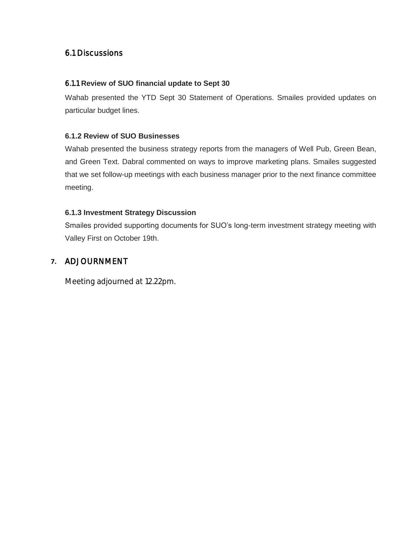# 6.1 Discussions

### 6.1.1 **Review of SUO financial update to Sept 30**

Wahab presented the YTD Sept 30 Statement of Operations. Smailes provided updates on particular budget lines.

### **6.1.2 Review of SUO Businesses**

Wahab presented the business strategy reports from the managers of Well Pub, Green Bean, and Green Text. Dabral commented on ways to improve marketing plans. Smailes suggested that we set follow-up meetings with each business manager prior to the next finance committee meeting.

### **6.1.3 Investment Strategy Discussion**

Smailes provided supporting documents for SUO's long-term investment strategy meeting with Valley First on October 19th.

### **7.** ADJOURNMENT

Meeting adjourned at 12.22pm.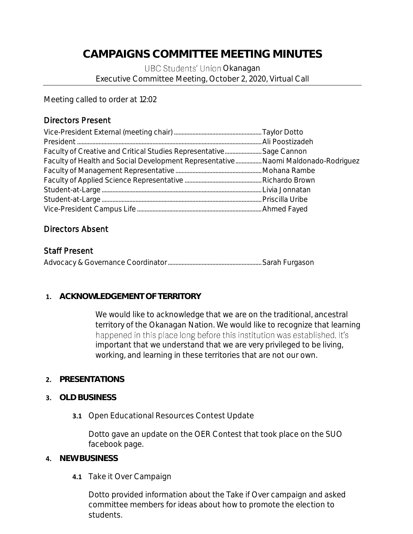# **CAMPAIGNS COMMITTEE MEETING MINUTES**

UBC Students' Union Okanagan Executive Committee Meeting, October 2, 2020, Virtual Call

Meeting called to order at 12:02

## Directors Present

| Faculty of Creative and Critical Studies Representative Sage Cannon               |  |
|-----------------------------------------------------------------------------------|--|
| Faculty of Health and Social Development Representative Naomi Maldonado-Rodriguez |  |
|                                                                                   |  |
|                                                                                   |  |
|                                                                                   |  |
|                                                                                   |  |
|                                                                                   |  |

### Directors Absent

### Staff Present

### **1. ACKNOWLEDGEMENT OF TERRITORY**

We would like to acknowledge that we are on the traditional, ancestral territory of the Okanagan Nation. We would like to recognize that learning happened in this place long before this institution was established. It's important that we understand that we are very privileged to be living, working, and learning in these territories that are not our own.

### **2. PRESENTATIONS**

### **3. OLD BUSINESS**

**3.1** Open Educational Resources Contest Update

Dotto gave an update on the OER Contest that took place on the SUO facebook page.

### **4. NEW BUSINESS**

**4.1** Take it Over Campaign

Dotto provided information about the Take if Over campaign and asked committee members for ideas about how to promote the election to students.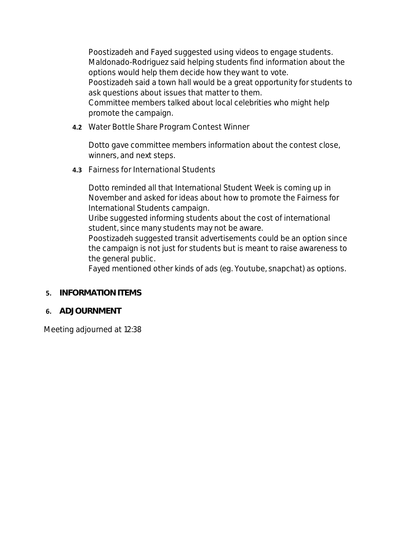Poostizadeh and Fayed suggested using videos to engage students. Maldonado-Rodriguez said helping students find information about the options would help them decide how they want to vote. Poostizadeh said a town hall would be a great opportunity for students to ask questions about issues that matter to them. Committee members talked about local celebrities who might help promote the campaign.

**4.2** Water Bottle Share Program Contest Winner

Dotto gave committee members information about the contest close, winners, and next steps.

**4.3** Fairness for International Students

Dotto reminded all that International Student Week is coming up in November and asked for ideas about how to promote the Fairness for International Students campaign.

Uribe suggested informing students about the cost of international student, since many students may not be aware.

Poostizadeh suggested transit advertisements could be an option since the campaign is not just for students but is meant to raise awareness to the general public.

Fayed mentioned other kinds of ads (eg. Youtube, snapchat) as options.

- **5. INFORMATION ITEMS**
- **6. ADJOURNMENT**

Meeting adjourned at 12:38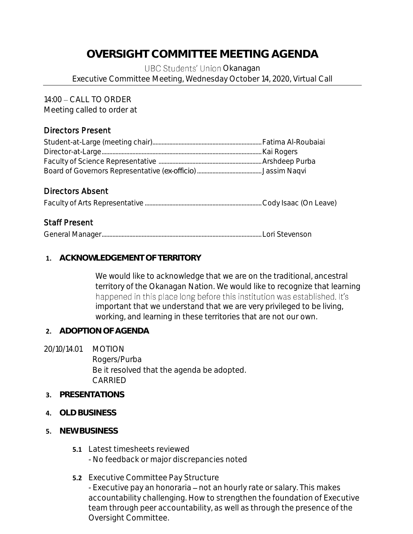# **OVERSIGHT COMMITTEE MEETING AGENDA**

UBC Students' Union Okanagan Executive Committee Meeting, Wednesday October 14, 2020, Virtual Call

14:00 - CALL TO ORDER

Meeting called to order at

# Directors Present

# Directors Absent

Faculty of Arts Representative ............................................................................Cody Isaac (On Leave)

# Staff Present

General Manager........................................................................................................Lori Stevenson

### **1. ACKNOWLEDGEMENT OF TERRITORY**

We would like to acknowledge that we are on the traditional, ancestral territory of the Okanagan Nation. We would like to recognize that learning happened in this place long before this institution was established. It's important that we understand that we are very privileged to be living, working, and learning in these territories that are not our own.

- **2. ADOPTION OF AGENDA**
- 20/10/14.01 MOTION Rogers/Purba Be it resolved that the agenda be adopted. CARRIED
- **3. PRESENTATIONS**
- **4. OLD BUSINESS**
- **5. NEW BUSINESS**
	- **5.1** Latest timesheets reviewed - No feedback or major discrepancies noted
	- **5.2** Executive Committee Pay Structure - Executive pay an honoraria – not an hourly rate or salary. This makes accountability challenging. How to strengthen the foundation of Executive team through peer accountability, as well as through the presence of the Oversight Committee.